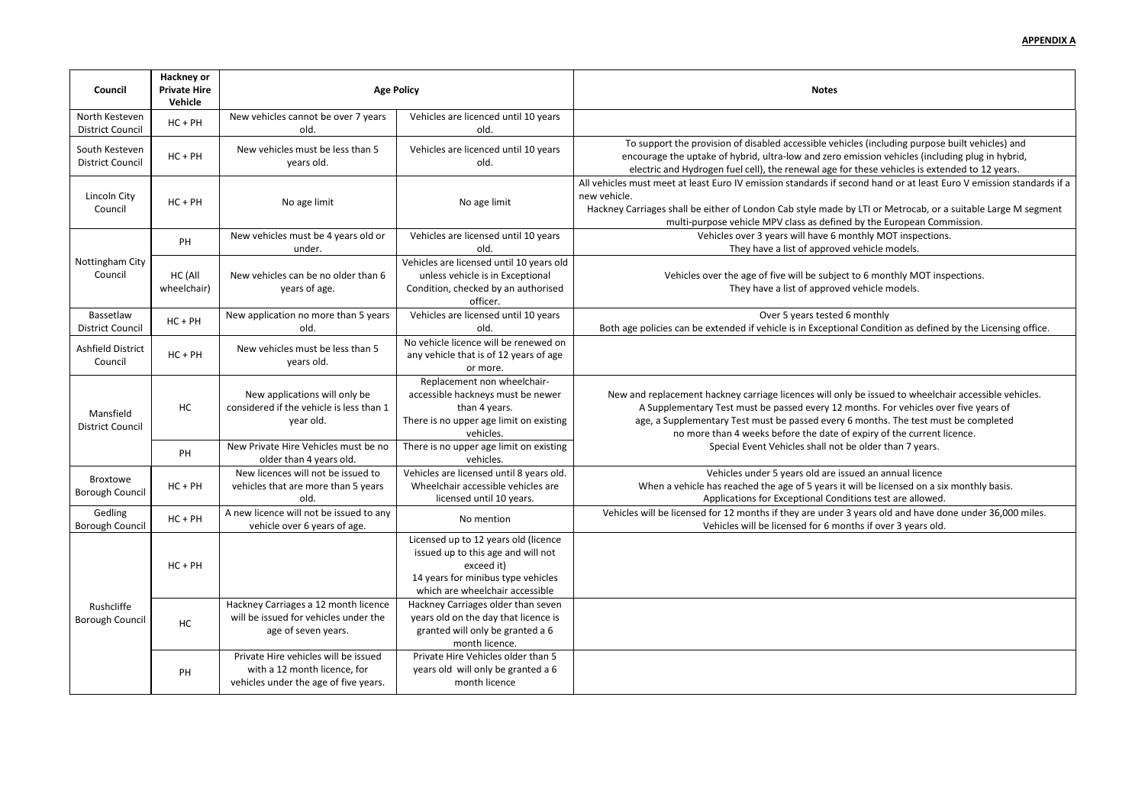s (including purpose built vehicles) and ssion vehicles (including plug in hybrid, ese vehicles is extended to 12 years. All hand or at least Euro V emission standards if a Hackney Carriages Shall be the torst of Nondon Cab style made CTI or Metrocab, or a suitable Large M segment y the European Commission. thly MOT inspections. ehicle models. G monthly MOT inspections. ehicle models. onthly Condition as defined by the Licensing office. e issued to wheelchair accessible vehicles. nths. For vehicles over five years of nonths. The test must be completed piry of the current licence. d an annual licence I be licensed on a six monthly basis. ons test are allowed. ears old and have done under 36,000 miles. s if over 3 years old.

| Council                                   | <b>Hackney or</b><br><b>Private Hire</b><br>Vehicle | <b>Age Policy</b>                                                                                             |                                                                                                                                                                   | <b>Notes</b>                                                                                                                                                                                                                                                                                |  |
|-------------------------------------------|-----------------------------------------------------|---------------------------------------------------------------------------------------------------------------|-------------------------------------------------------------------------------------------------------------------------------------------------------------------|---------------------------------------------------------------------------------------------------------------------------------------------------------------------------------------------------------------------------------------------------------------------------------------------|--|
| North Kesteven<br><b>District Council</b> | $HC + PH$                                           | New vehicles cannot be over 7 years<br>old.                                                                   | Vehicles are licenced until 10 years<br>old.                                                                                                                      |                                                                                                                                                                                                                                                                                             |  |
| South Kesteven<br><b>District Council</b> | $HC + PH$                                           | New vehicles must be less than 5<br>years old.                                                                | Vehicles are licenced until 10 years<br>old.                                                                                                                      | To support the provision of disabled accessible vehicles (including purpos<br>encourage the uptake of hybrid, ultra-low and zero emission vehicles (incl<br>electric and Hydrogen fuel cell), the renewal age for these vehicles is ext                                                     |  |
| Lincoln City<br>Council                   | $HC + PH$                                           | No age limit                                                                                                  | No age limit                                                                                                                                                      | All vehicles must meet at least Euro IV emission standards if second hand or at least<br>new vehicle.<br>Hackney Carriages shall be either of London Cab style made by LTI or Metrocab, o<br>multi-purpose vehicle MPV class as defined by the European Co                                  |  |
|                                           | PH                                                  | New vehicles must be 4 years old or<br>under.                                                                 | Vehicles are licensed until 10 years<br>old.                                                                                                                      | Vehicles over 3 years will have 6 monthly MOT inspectio<br>They have a list of approved vehicle models.                                                                                                                                                                                     |  |
| Nottingham City<br>Council                | HC (All<br>wheelchair)                              | New vehicles can be no older than 6<br>years of age.                                                          | Vehicles are licensed until 10 years old<br>unless vehicle is in Exceptional<br>Condition, checked by an authorised<br>officer.                                   | Vehicles over the age of five will be subject to 6 monthly MOT in<br>They have a list of approved vehicle models.                                                                                                                                                                           |  |
| Bassetlaw<br><b>District Council</b>      | $HC + PH$                                           | New application no more than 5 years<br>old.                                                                  | Vehicles are licensed until 10 years<br>old.                                                                                                                      | Over 5 years tested 6 monthly<br>Both age policies can be extended if vehicle is in Exceptional Condition as defin                                                                                                                                                                          |  |
| Ashfield District<br>Council              | $HC + PH$                                           | New vehicles must be less than 5<br>years old.                                                                | No vehicle licence will be renewed on<br>any vehicle that is of 12 years of age<br>or more.                                                                       |                                                                                                                                                                                                                                                                                             |  |
| Mansfield<br><b>District Council</b>      | HC                                                  | New applications will only be<br>considered if the vehicle is less than 1<br>year old.                        | Replacement non wheelchair-<br>accessible hackneys must be newer<br>than 4 years.<br>There is no upper age limit on existing<br>vehicles.                         | New and replacement hackney carriage licences will only be issued to wheeld<br>A Supplementary Test must be passed every 12 months. For vehicles of<br>age, a Supplementary Test must be passed every 6 months. The test m<br>no more than 4 weeks before the date of expiry of the current |  |
|                                           | PH                                                  | New Private Hire Vehicles must be no<br>older than 4 years old.                                               | There is no upper age limit on existing<br>vehicles.                                                                                                              | Special Event Vehicles shall not be older than 7 years.                                                                                                                                                                                                                                     |  |
| Broxtowe<br><b>Borough Council</b>        | $HC + PH$                                           | New licences will not be issued to<br>vehicles that are more than 5 years<br>old.                             | Vehicles are licensed until 8 years old.<br>Wheelchair accessible vehicles are<br>licensed until 10 years.                                                        | Vehicles under 5 years old are issued an annual licence<br>When a vehicle has reached the age of 5 years it will be licensed on a<br>Applications for Exceptional Conditions test are allowe                                                                                                |  |
| Gedling<br><b>Borough Council</b>         | $HC + PH$                                           | A new licence will not be issued to any<br>vehicle over 6 years of age.                                       | No mention                                                                                                                                                        | Vehicles will be licensed for 12 months if they are under 3 years old and have<br>Vehicles will be licensed for 6 months if over 3 years ol                                                                                                                                                 |  |
|                                           | $HC + PH$                                           |                                                                                                               | Licensed up to 12 years old (licence<br>issued up to this age and will not<br>exceed it)<br>14 years for minibus type vehicles<br>which are wheelchair accessible |                                                                                                                                                                                                                                                                                             |  |
| Rushcliffe<br><b>Borough Council</b>      | HC                                                  | Hackney Carriages a 12 month licence<br>will be issued for vehicles under the<br>age of seven years.          | Hackney Carriages older than seven<br>years old on the day that licence is<br>granted will only be granted a 6<br>month licence.                                  |                                                                                                                                                                                                                                                                                             |  |
|                                           | PH                                                  | Private Hire vehicles will be issued<br>with a 12 month licence, for<br>vehicles under the age of five years. | Private Hire Vehicles older than 5<br>years old will only be granted a 6<br>month licence                                                                         |                                                                                                                                                                                                                                                                                             |  |